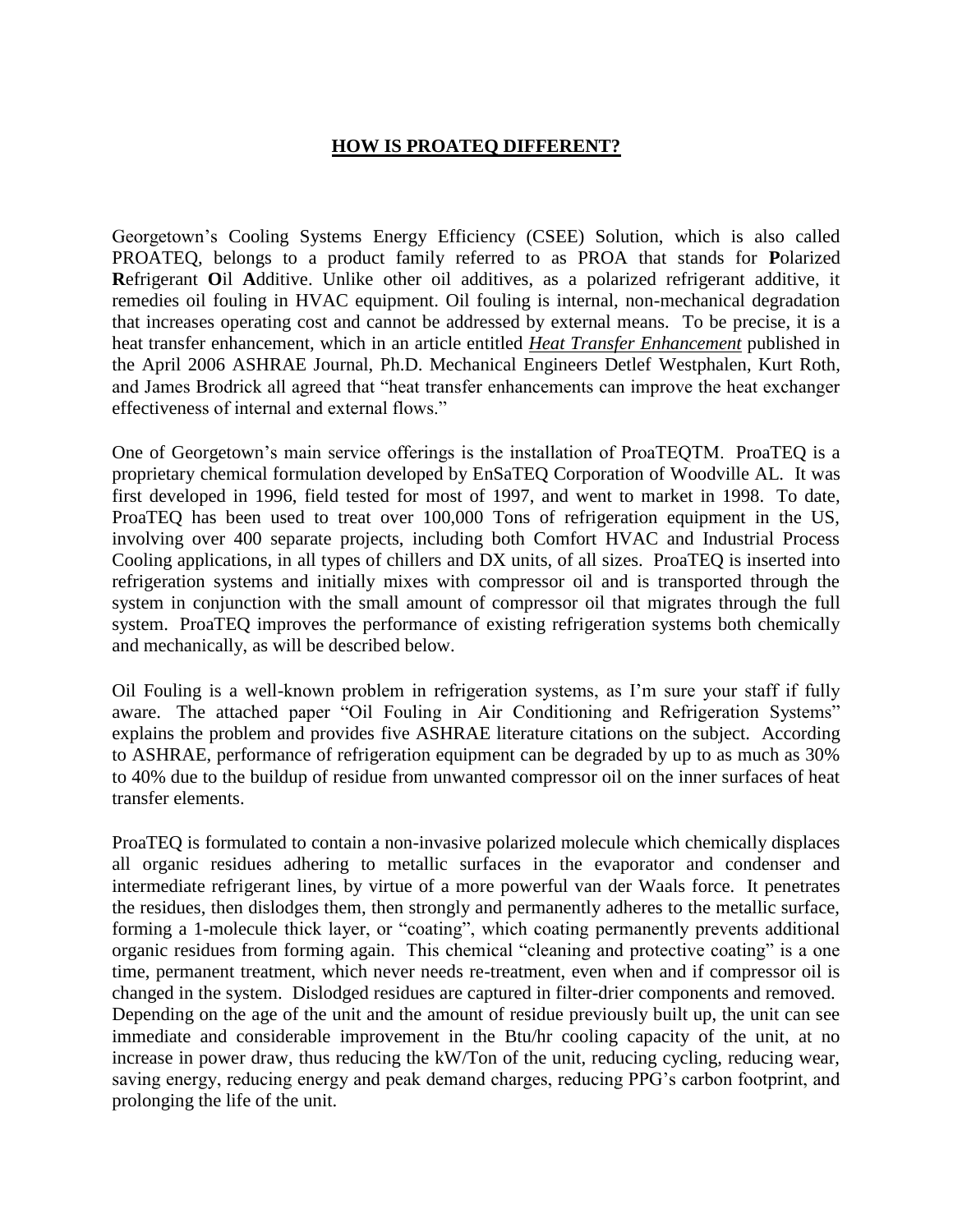## **HOW IS PROATEQ DIFFERENT?**

Georgetown's Cooling Systems Energy Efficiency (CSEE) Solution, which is also called PROATEQ, belongs to a product family referred to as PROA that stands for **P**olarized **R**efrigerant **O**il **A**dditive. Unlike other oil additives, as a polarized refrigerant additive, it remedies oil fouling in HVAC equipment. Oil fouling is internal, non-mechanical degradation that increases operating cost and cannot be addressed by external means. To be precise, it is a heat transfer enhancement, which in an article entitled *Heat Transfer Enhancement* published in the April 2006 ASHRAE Journal, Ph.D. Mechanical Engineers Detlef Westphalen, Kurt Roth, and James Brodrick all agreed that "heat transfer enhancements can improve the heat exchanger effectiveness of internal and external flows."

One of Georgetown's main service offerings is the installation of ProaTEQTM. ProaTEQ is a proprietary chemical formulation developed by EnSaTEQ Corporation of Woodville AL. It was first developed in 1996, field tested for most of 1997, and went to market in 1998. To date, ProaTEQ has been used to treat over 100,000 Tons of refrigeration equipment in the US, involving over 400 separate projects, including both Comfort HVAC and Industrial Process Cooling applications, in all types of chillers and DX units, of all sizes. ProaTEQ is inserted into refrigeration systems and initially mixes with compressor oil and is transported through the system in conjunction with the small amount of compressor oil that migrates through the full system. ProaTEQ improves the performance of existing refrigeration systems both chemically and mechanically, as will be described below.

Oil Fouling is a well-known problem in refrigeration systems, as I'm sure your staff if fully aware. The attached paper "Oil Fouling in Air Conditioning and Refrigeration Systems" explains the problem and provides five ASHRAE literature citations on the subject. According to ASHRAE, performance of refrigeration equipment can be degraded by up to as much as 30% to 40% due to the buildup of residue from unwanted compressor oil on the inner surfaces of heat transfer elements.

ProaTEQ is formulated to contain a non-invasive polarized molecule which chemically displaces all organic residues adhering to metallic surfaces in the evaporator and condenser and intermediate refrigerant lines, by virtue of a more powerful van der Waals force. It penetrates the residues, then dislodges them, then strongly and permanently adheres to the metallic surface, forming a 1-molecule thick layer, or "coating", which coating permanently prevents additional organic residues from forming again. This chemical "cleaning and protective coating" is a one time, permanent treatment, which never needs re-treatment, even when and if compressor oil is changed in the system. Dislodged residues are captured in filter-drier components and removed. Depending on the age of the unit and the amount of residue previously built up, the unit can see immediate and considerable improvement in the Btu/hr cooling capacity of the unit, at no increase in power draw, thus reducing the kW/Ton of the unit, reducing cycling, reducing wear, saving energy, reducing energy and peak demand charges, reducing PPG's carbon footprint, and prolonging the life of the unit.